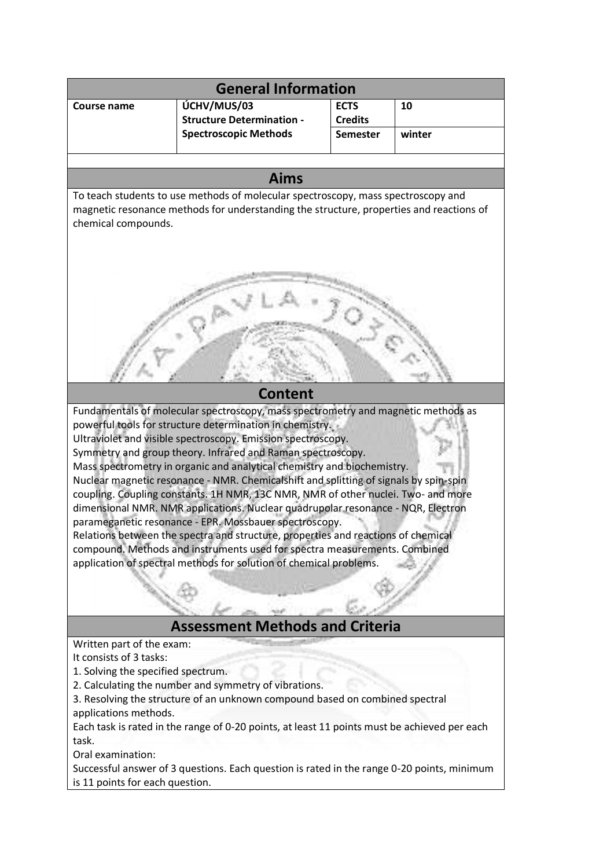| <b>General Information</b>                                                                                                                                                                                                                                                                                                                                                                                                                                                                                                                                                                                                                                                                                                                                                                                                                                                                                                  |                                                                  |                                   |        |
|-----------------------------------------------------------------------------------------------------------------------------------------------------------------------------------------------------------------------------------------------------------------------------------------------------------------------------------------------------------------------------------------------------------------------------------------------------------------------------------------------------------------------------------------------------------------------------------------------------------------------------------------------------------------------------------------------------------------------------------------------------------------------------------------------------------------------------------------------------------------------------------------------------------------------------|------------------------------------------------------------------|-----------------------------------|--------|
| <b>Course name</b>                                                                                                                                                                                                                                                                                                                                                                                                                                                                                                                                                                                                                                                                                                                                                                                                                                                                                                          | ÚCHV/MUS/03                                                      | <b>ECTS</b>                       | 10     |
|                                                                                                                                                                                                                                                                                                                                                                                                                                                                                                                                                                                                                                                                                                                                                                                                                                                                                                                             | <b>Structure Determination -</b><br><b>Spectroscopic Methods</b> | <b>Credits</b><br><b>Semester</b> | winter |
|                                                                                                                                                                                                                                                                                                                                                                                                                                                                                                                                                                                                                                                                                                                                                                                                                                                                                                                             |                                                                  |                                   |        |
|                                                                                                                                                                                                                                                                                                                                                                                                                                                                                                                                                                                                                                                                                                                                                                                                                                                                                                                             |                                                                  |                                   |        |
| <b>Aims</b>                                                                                                                                                                                                                                                                                                                                                                                                                                                                                                                                                                                                                                                                                                                                                                                                                                                                                                                 |                                                                  |                                   |        |
| To teach students to use methods of molecular spectroscopy, mass spectroscopy and<br>magnetic resonance methods for understanding the structure, properties and reactions of<br>chemical compounds.                                                                                                                                                                                                                                                                                                                                                                                                                                                                                                                                                                                                                                                                                                                         |                                                                  |                                   |        |
|                                                                                                                                                                                                                                                                                                                                                                                                                                                                                                                                                                                                                                                                                                                                                                                                                                                                                                                             |                                                                  |                                   |        |
| <b>Content</b>                                                                                                                                                                                                                                                                                                                                                                                                                                                                                                                                                                                                                                                                                                                                                                                                                                                                                                              |                                                                  |                                   |        |
| Fundamentals of molecular spectroscopy, mass spectrometry and magnetic methods as<br>powerful tools for structure determination in chemistry.<br>Ultraviolet and visible spectroscopy. Emission spectroscopy.<br>Symmetry and group theory. Infrared and Raman spectroscopy.<br>Mass spectrometry in organic and analytical chemistry and biochemistry.<br>Nuclear magnetic resonance - NMR. Chemicalshift and splitting of signals by spin-spin<br>coupling. Coupling constants. 1H NMR, 13C NMR, NMR of other nuclei. Two- and more<br>dimensional NMR. NMR applications. Nuclear quadrupolar resonance - NQR, Electron<br>parameganetic resonance - EPR. Mossbauer spectroscopy.<br>Relations between the spectra and structure, properties and reactions of chemical<br>compound. Methods and instruments used for spectra measurements. Combined<br>application of spectral methods for solution of chemical problems. |                                                                  |                                   |        |
| <b>Assessment Methods and Criteria</b>                                                                                                                                                                                                                                                                                                                                                                                                                                                                                                                                                                                                                                                                                                                                                                                                                                                                                      |                                                                  |                                   |        |
| Written part of the exam:<br>It consists of 3 tasks:<br>1. Solving the specified spectrum.<br>2. Calculating the number and symmetry of vibrations.<br>3. Resolving the structure of an unknown compound based on combined spectral<br>applications methods.<br>Each task is rated in the range of 0-20 points, at least 11 points must be achieved per each<br>task.<br>Oral examination:<br>Successful answer of 3 questions. Each question is rated in the range 0-20 points, minimum<br>is 11 points for each question.                                                                                                                                                                                                                                                                                                                                                                                                 |                                                                  |                                   |        |